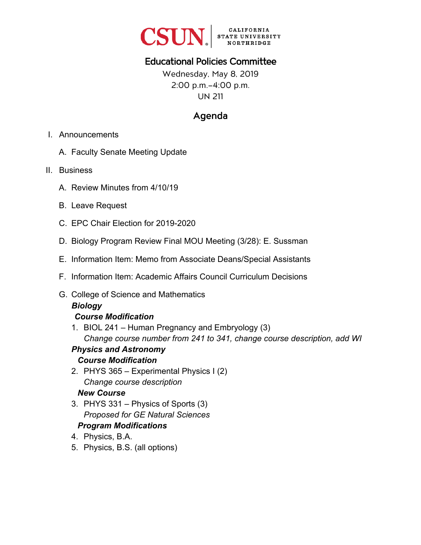

# Educational Policies Committee

Wednesday, May 8, 2019 2:00 p.m.–4:00 p.m. UN 211

# Agenda

- I. Announcements
	- A. Faculty Senate Meeting Update
- II. Business
	- A. Review Minutes from 4/10/19
	- B. Leave Request
	- C. EPC Chair Election for 2019-2020
	- D. Biology Program Review Final MOU Meeting (3/28): E. Sussman
	- E. Information Item: Memo from Associate Deans/Special Assistants
	- F. Information Item: Academic Affairs Council Curriculum Decisions
	- G. College of Science and Mathematics

#### *Biology*

#### *Course Modification*

1. BIOL 241 – Human Pregnancy and Embryology (3) *Change course number from 241 to 341, change course description, add WI* 

#### *Physics and Astronomy Course Modification*

2. PHYS 365 – Experimental Physics I (2) *Change course description* 

#### *New Course*

3. PHYS 331 – Physics of Sports (3) *Proposed for GE Natural Sciences* 

#### *Program Modifications*

- 4. Physics, B.A.
- 5. Physics, B.S. (all options)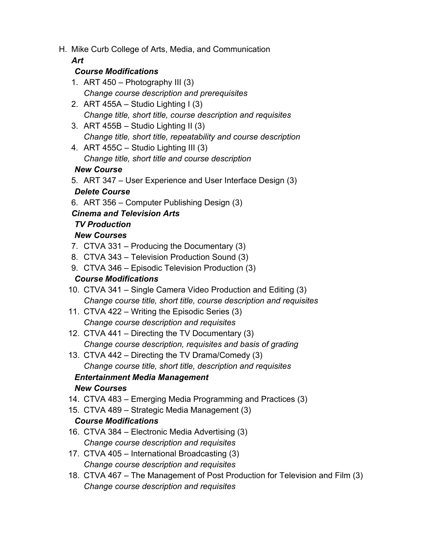H. Mike Curb College of Arts, Media, and Communication

#### *Art*

#### *Course Modifications*

- 1. ART  $450 -$  Photography III (3) *Change course description and prerequisites*
- 2. ART 455A Studio Lighting I (3) *Change title, short title, course description and requisites*
- 3. ART 455B Studio Lighting II (3) *Change title, short title, repeatability and course description*
- 4. ART 455C Studio Lighting III (3) *Change title, short title and course description*

#### *New Course*

5. ART 347 – User Experience and User Interface Design (3)

#### *Delete Course*

6. ART 356 – Computer Publishing Design (3)

#### *Cinema and Television Arts*

## *TV Production*

## *New Courses*

- 7. CTVA 331 Producing the Documentary (3)
- 8. CTVA 343 Television Production Sound (3)
- 9. CTVA 346 Episodic Television Production (3)

## *Course Modifications*

- 10. CTVA 341 Single Camera Video Production and Editing (3) *Change course title, short title, course description and requisites*
- 11. CTVA 422 Writing the Episodic Series (3) *Change course description and requisites*
- 12. CTVA 441 Directing the TV Documentary (3) *Change course description, requisites and basis of grading*
- 13. CTVA 442 Directing the TV Drama/Comedy (3) *Change course title, short title, description and requisites*

## *Entertainment Media Management*

## *New Courses*

- 14. CTVA 483 Emerging Media Programming and Practices (3)
- 15. CTVA 489 Strategic Media Management (3)

#### *Course Modifications*

- 16. CTVA 384 Electronic Media Advertising (3) *Change course description and requisites*
- 17. CTVA 405 International Broadcasting (3) *Change course description and requisites*
- 18. CTVA 467 The Management of Post Production for Television and Film (3) *Change course description and requisites*